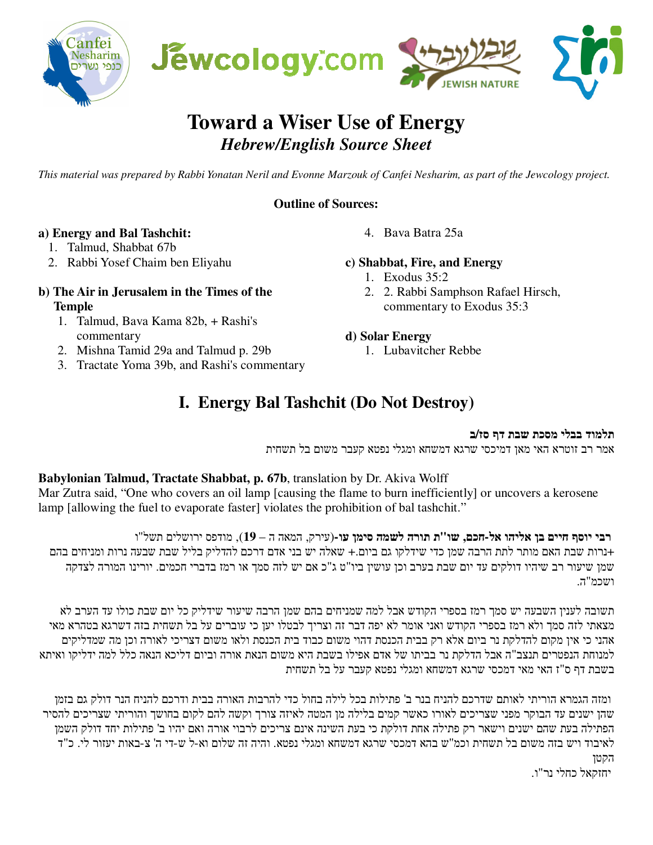

# **Toward a Wiser Use of Energy**  *Hebrew/English Source Sheet*

*This material was prepared by Rabbi Yonatan Neril and Evonne Marzouk of Canfei Nesharim, as part of the Jewcology project.* 

#### **Outline of Sources:**

## **a) Energy and Bal Tashchit:**

- 1. Talmud, Shabbat 67b
- 2. Rabbi Yosef Chaim ben Eliyahu

#### **b) The Air in Jerusalem in the Times of the Temple**

- 1. Talmud, Bava Kama 82b, + Rashi's commentary
- 2. Mishna Tamid 29a and Talmud p. 29b
- 3. Tractate Yoma 39b, and Rashi's commentary

## 4. Bava Batra 25a

#### **c) Shabbat, Fire, and Energy**

- 1. Exodus 35:2
- 2. 2. Rabbi Samphson Rafael Hirsch, commentary to Exodus 35:3

#### **d) Solar Energy**

1. Lubavitcher Rebbe

## **I. Energy Bal Tashchit (Do Not Destroy)**

#### **תלמוד בבלי מסכת שבת דף סז/ב**

אמר רב זוטרא האי מאן דמיכסי שרגא דמשחא ומגלי נפטא קעבר משום בל תשחית

## **Babylonian Talmud, Tractate Shabbat, p. 67b**, translation by Dr. Akiva Wolff

Mar Zutra said, "One who covers an oil lamp [causing the flame to burn inefficiently] or uncovers a kerosene lamp [allowing the fuel to evaporate faster] violates the prohibition of bal tashchit."

#### **רבי יוסף חיים בן אליהו אל-חכם, שו"ת תורה לשמה סימן עו-**(עירק, המאה ה – **19** , ) מודפס ירושלים תשל"ו +נרות שבת האם מותר לתת הרבה שמן כדי שידלקו גם ביום+. שאלה יש בני אדם דרכם להדליק בליל שבת שבעה נרות ומניחים בהם

שמן שיעור רב שיהיו דולקים עד יום שבת בערב וכן עושין ביו"ט ג"כ אם יש לזה סמך או רמז בדברי חכמים. יורינו המורה לצדקה ושכמ"ה .

תשובה לענין השבעה יש סמך רמז בספרי הקודש אבל למה שמניחים בהם שמן הרבה שיעור שידליק כל יום שבת כולו עד הערב לא מצאתי לזה סמך ולא רמז בספרי הקודש ואני אומר לא יפה דבר זה וצריך לבטלו יען כי עוברים על בל תשחית בזה דשרגא בטהרא מאי אהני כי אין מקום להדלקת נר ביום אלא רק בבית הכנסת דהוי משום כבוד בית הכנסת ולאו משום דצריכי לאורה וכן מה שמדליקים למנוחת הנפטרים תנצב"ה אבל הדלקת נר בביתו של אדם אפילו בשבת היא משום הנאת אורה וביום דליכא הנאה כלל למה ידליקו ואיתא בשבת דף ס"ז האי מאי דמכסי שרגא דמשחא ומגלי נפטא קעבר על בל תשחית

ומזה הגמרא הוריתי לאותם שדרכם להניח בנר ב' פתילות בכל לילה בחול כדי להרבות האורה בבית ודרכם להניח הנר דולק גם בזמן שהן ישנים עד הבוקר מפני שצריכים לאורו כאשר קמים בלילה מן המטה לאיזה צורך וקשה להם לקום בחושך והוריתי שצריכים להסיר הפתילה בעת שהם ישנים וישאר רק פתילה אחת דולקת כי בעת השינה אינם צריכים לרבוי אורה ואם יהיו ב' פתילות יחד דולק השמן לאיבוד ויש בזה משום בל תשחית וכמ"ש בהא דמכסי שרגא דמשחא ומגלי נפטא. והיה זה שלום וא-ל ש-די ה' צ-באות יעזור לי. כ"ד הקטן

יחזקאל כחלי נר"ו .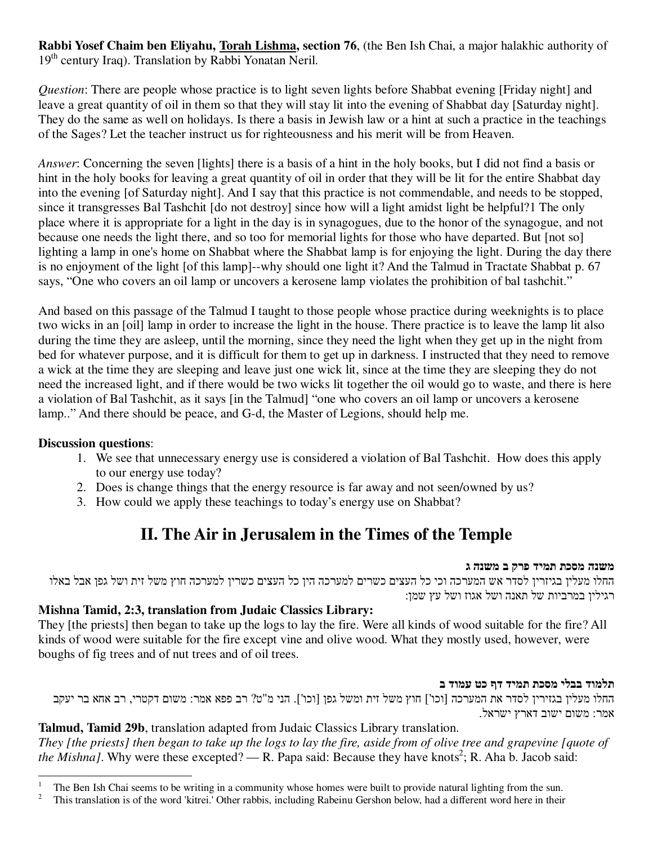**Rabbi Yosef Chaim ben Eliyahu, Torah Lishma, section 76**, (the Ben Ish Chai, a major halakhic authority of 19<sup>th</sup> century Iraq). Translation by Rabbi Yonatan Neril.

*Question*: There are people whose practice is to light seven lights before Shabbat evening [Friday night] and leave a great quantity of oil in them so that they will stay lit into the evening of Shabbat day [Saturday night]. They do the same as well on holidays. Is there a basis in Jewish law or a hint at such a practice in the teachings of the Sages? Let the teacher instruct us for righteousness and his merit will be from Heaven.

*Answer*: Concerning the seven [lights] there is a basis of a hint in the holy books, but I did not find a basis or hint in the holy books for leaving a great quantity of oil in order that they will be lit for the entire Shabbat day into the evening [of Saturday night]. And I say that this practice is not commendable, and needs to be stopped, since it transgresses Bal Tashchit [do not destroy] since how will a light amidst light be helpful?1 The only place where it is appropriate for a light in the day is in synagogues, due to the honor of the synagogue, and not because one needs the light there, and so too for memorial lights for those who have departed. But [not so] lighting a lamp in one's home on Shabbat where the Shabbat lamp is for enjoying the light. During the day there is no enjoyment of the light [of this lamp]--why should one light it? And the Talmud in Tractate Shabbat p. 67 says, "One who covers an oil lamp or uncovers a kerosene lamp violates the prohibition of bal tashchit."

And based on this passage of the Talmud I taught to those people whose practice during weeknights is to place two wicks in an [oil] lamp in order to increase the light in the house. There practice is to leave the lamp lit also during the time they are asleep, until the morning, since they need the light when they get up in the night from bed for whatever purpose, and it is difficult for them to get up in darkness. I instructed that they need to remove a wick at the time they are sleeping and leave just one wick lit, since at the time they are sleeping they do not need the increased light, and if there would be two wicks lit together the oil would go to waste, and there is here a violation of Bal Tashchit, as it says [in the Talmud] "one who covers an oil lamp or uncovers a kerosene lamp.." And there should be peace, and G-d, the Master of Legions, should help me.

## **Discussion questions**:

- 1. We see that unnecessary energy use is considered a violation of Bal Tashchit. How does this apply to our energy use today?
- 2. Does is change things that the energy resource is far away and not seen/owned by us?
- 3. How could we apply these teachings to today's energy use on Shabbat?

## **II. The Air in Jerusalem in the Times of the Temple**

#### **משנה מסכת תמיד פרק ב משנה ג**

החלו מעלין בגיזרין לסדר אש המערכה וכי כל העצים כשרים למערכה הין כל העצים כשרין למערכה חוץ משל זית ושל גפן אבל באלו רגילין במרביות של תאנה ושל אגוז ושל עץ שמן :

## **Mishna Tamid, 2:3, translation from Judaic Classics Library:**

They [the priests] then began to take up the logs to lay the fire. Were all kinds of wood suitable for the fire? All kinds of wood were suitable for the fire except vine and olive wood. What they mostly used, however, were boughs of fig trees and of nut trees and of oil trees.

#### **תלמוד בבלי מסכת תמיד דף כט עמוד ב**

החלו מעלין בגזירין לסדר את המערכה [וכו'] חוץ משל זית ומשל גפן [וכו']. הני מ"ט? רב פפא אמר: משום דקטרי, רב אחא בר יעקב אמר: משום ישוב דארץ ישראל .

## **Talmud, Tamid 29b**, translation adapted from Judaic Classics Library translation.

*They [the priests] then began to take up the logs to lay the fire, aside from of olive tree and grapevine [quote of the Mishna]*. Why were these excepted? — R. Papa said: Because they have knots<sup>2</sup>; R. Aha b. Jacob said:

<sup>-</sup>1 The Ben Ish Chai seems to be writing in a community whose homes were built to provide natural lighting from the sun.

<sup>2</sup> This translation is of the word 'kitrei.' Other rabbis, including Rabeinu Gershon below, had a different word here in their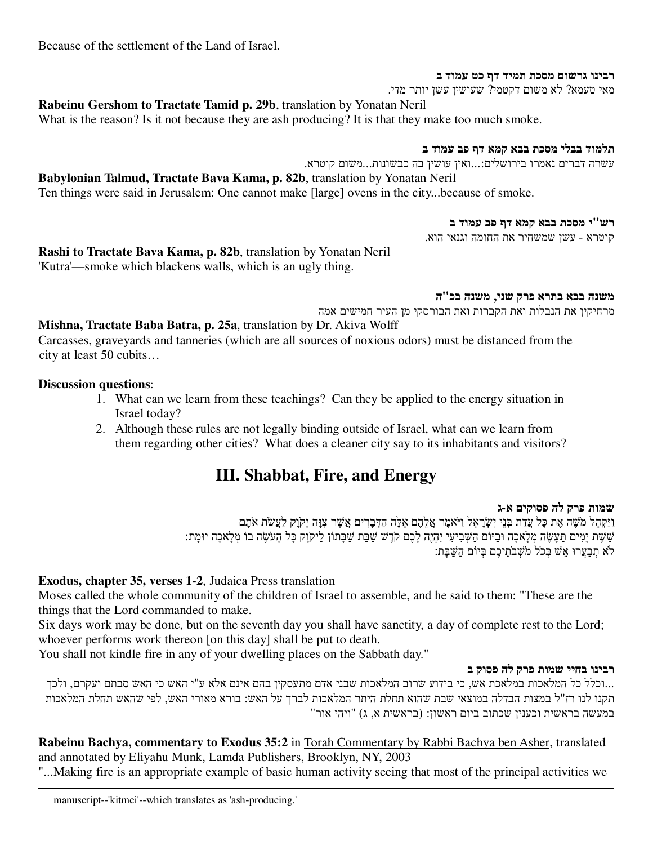Because of the settlement of the Land of Israel.

#### **רבינו גרשום מסכת תמיד דף כט עמוד ב**

מאי טעמא? לא משום דקטמי? שעושין עשן יותר מדי .

**Rabeinu Gershom to Tractate Tamid p. 29b**, translation by Yonatan Neril

What is the reason? Is it not because they are ash producing? It is that they make too much smoke.

**תלמוד בבלי מסכת בבא קמא דף פב עמוד ב**

עשרה דברים נאמרו בירושלים...:ואין עושין בה כבשונות...משום קוטרא .

**Babylonian Talmud, Tractate Bava Kama, p. 82b**, translation by Yonatan Neril Ten things were said in Jerusalem: One cannot make [large] ovens in the city...because of smoke.

#### **רש"י מסכת בבא קמא דף פב עמוד ב**

קוטרא - עשן שמשחיר את החומה וגנאי הוא .

**Rashi to Tractate Bava Kama, p. 82b**, translation by Yonatan Neril 'Kutra'—smoke which blackens walls, which is an ugly thing.

#### **משנה בבא בתרא פרק שני, משנה בכ"ה**

מרחיקין את הנבלות ואת הקברות ואת הבורסקי מן העיר חמישים אמה

**Mishna, Tractate Baba Batra, p. 25a**, translation by Dr. Akiva Wolff

Carcasses, graveyards and tanneries (which are all sources of noxious odors) must be distanced from the city at least 50 cubits…

#### **Discussion questions**:

 $\overline{a}$ 

- 1. What can we learn from these teachings? Can they be applied to the energy situation in Israel today?
- 2. Although these rules are not legally binding outside of Israel, what can we learn from them regarding other cities? What does a cleaner city say to its inhabitants and visitors?

## **III. Shabbat, Fire, and Energy**

#### **שמות פרק לה פסוקים א- ג**

וַיַּקְהֵל מ ֹשֶׁה אֶת כָּל עֲדַת בְּנֵי יִשְׂרָ אֵל וַיּ ֹאמֶר אֲלֵהֶם אֵלֶּה הַדְּבָרִ ים אֲשֶׁר צִוָּה יְקֹוָק לַעֲשׂ ֹת א ֹתָם שֵׁשֶׁת יָמִים תֵּעָשֶׂה מְלָאכָה וּבַיּוֹם הַשְּׁבִיעִי יִהְיֶה לָכֶם קֹדֶשׁ שַׁבַּת שַׁבָּתוֹן לַיקֹוָק כָּל הָע ֹשֶׂה בוֹ מְלָאכָה יוּמָת : לֹא תִבֲעֲרוּ אֵשׁ בְּכֹל מֹשָׁבֹתֵיכֶם בְּיוֹם הַשַּׁבָּת:

## **Exodus, chapter 35, verses 1-2**, Judaica Press translation

Moses called the whole community of the children of Israel to assemble, and he said to them: "These are the things that the Lord commanded to make.

Six days work may be done, but on the seventh day you shall have sanctity, a day of complete rest to the Lord; whoever performs work thereon [on this day] shall be put to death.

You shall not kindle fire in any of your dwelling places on the Sabbath day."

#### **רבינו בחיי שמות פרק לה פסוק ב**

...וכלל כל המלאכות במלאכת אש, כי בידוע שרוב המלאכות שבני אדם מתעסקין בהם אינם אלא ע"י האש כי האש סבתם ועקרם, ולכך תקנו לנו רז"ל במצות הבדלה במוצאי שבת שהוא תחלת היתר המלאכות לברך על האש: בורא מאורי האש, לפי שהאש תחלת המלאכות במעשה בראשית וכענין שכתוב ביום ראשון: (בראשית א, ג) "ויהי אור "

**Rabeinu Bachya, commentary to Exodus 35:2** in Torah Commentary by Rabbi Bachya ben Asher, translated and annotated by Eliyahu Munk, Lamda Publishers, Brooklyn, NY, 2003

"...Making fire is an appropriate example of basic human activity seeing that most of the principal activities we